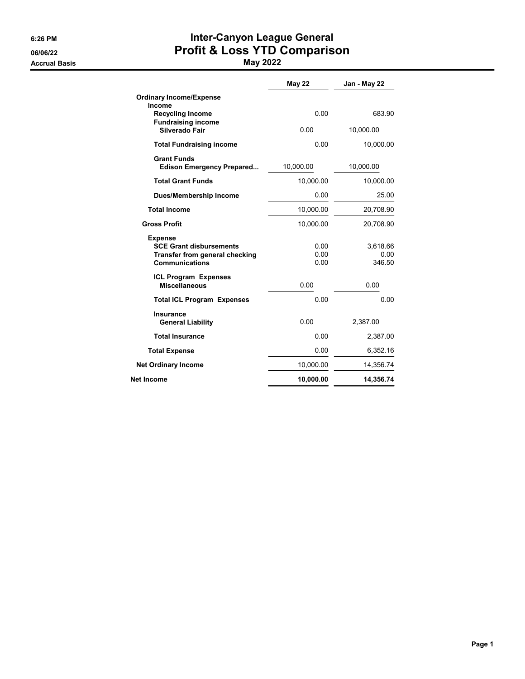Accrual Basis May 2022

# 6:26 PM **Inter-Canyon League General** 06/06/22 **Profit & Loss YTD Comparison**

|                                                                                                                    | <b>May 22</b>        | Jan - May 22               |
|--------------------------------------------------------------------------------------------------------------------|----------------------|----------------------------|
| <b>Ordinary Income/Expense</b><br>Income                                                                           |                      |                            |
| <b>Recycling Income</b><br><b>Fundraising income</b>                                                               | 0.00                 | 683.90                     |
| Silverado Fair                                                                                                     | 0.00                 | 10,000.00                  |
| <b>Total Fundraising income</b>                                                                                    | 0.00                 | 10,000.00                  |
| <b>Grant Funds</b><br><b>Edison Emergency Prepared</b>                                                             | 10,000.00            | 10,000.00                  |
| <b>Total Grant Funds</b>                                                                                           | 10,000.00            | 10,000.00                  |
| <b>Dues/Membership Income</b>                                                                                      | 0.00                 | 25.00                      |
| <b>Total Income</b>                                                                                                | 10,000.00            | 20,708.90                  |
| <b>Gross Profit</b>                                                                                                | 10,000.00            | 20,708.90                  |
| <b>Expense</b><br><b>SCE Grant disbursements</b><br><b>Transfer from general checking</b><br><b>Communications</b> | 0.00<br>0.00<br>0.00 | 3,618.66<br>0.00<br>346.50 |
| <b>ICL Program Expenses</b><br><b>Miscellaneous</b>                                                                | 0.00                 | 0.00                       |
| <b>Total ICL Program Expenses</b>                                                                                  | 0.00                 | 0.00                       |
| <b>Insurance</b><br><b>General Liability</b>                                                                       | 0.00                 | 2,387.00                   |
| <b>Total Insurance</b>                                                                                             | 0.00                 | 2,387.00                   |
| <b>Total Expense</b>                                                                                               | 0.00                 | 6,352.16                   |
| <b>Net Ordinary Income</b>                                                                                         | 10,000.00            | 14,356.74                  |
| Net Income                                                                                                         | 10,000.00            | 14,356.74                  |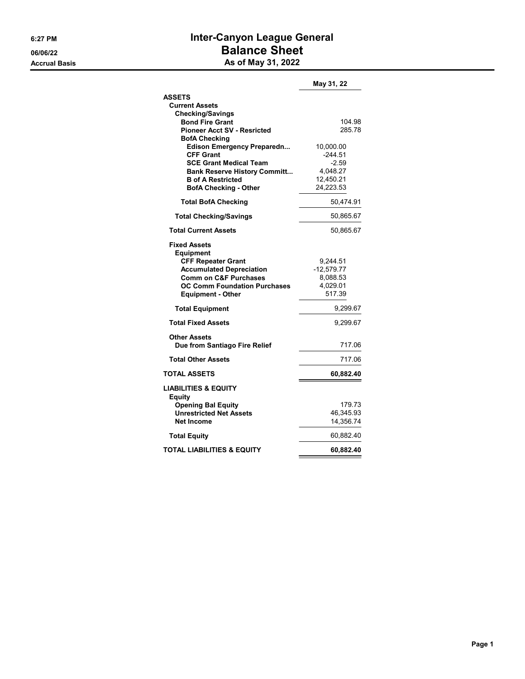## 6:27 PM **Inter-Canyon League General** 06/06/22 Balance Sheet Accrual Basis **Accrual Basis** As of May 31, 2022

|                                                                                                                                                                                                                | May 31, 22                                                            |
|----------------------------------------------------------------------------------------------------------------------------------------------------------------------------------------------------------------|-----------------------------------------------------------------------|
| <b>ASSETS</b><br><b>Current Assets</b>                                                                                                                                                                         |                                                                       |
| <b>Checking/Savings</b><br><b>Bond Fire Grant</b><br><b>Pioneer Acct SV - Resricted</b><br><b>BofA Checking</b>                                                                                                | 104.98<br>285.78                                                      |
| Edison Emergency Preparedn<br><b>CFF Grant</b><br><b>SCE Grant Medical Team</b><br><b>Bank Reserve History Committ</b><br><b>B</b> of A Restricted<br><b>BofA Checking - Other</b>                             | 10,000.00<br>-244.51<br>$-2.59$<br>4,048.27<br>12,450.21<br>24,223.53 |
| <b>Total BofA Checking</b>                                                                                                                                                                                     | 50,474.91                                                             |
| <b>Total Checking/Savings</b>                                                                                                                                                                                  | 50,865.67                                                             |
| <b>Total Current Assets</b>                                                                                                                                                                                    | 50,865.67                                                             |
| <b>Fixed Assets</b><br><b>Equipment</b><br><b>CFF Repeater Grant</b><br><b>Accumulated Depreciation</b><br><b>Comm on C&amp;F Purchases</b><br><b>OC Comm Foundation Purchases</b><br><b>Equipment - Other</b> | 9,244.51<br>$-12,579.77$<br>8,088.53<br>4,029.01<br>517.39            |
| <b>Total Equipment</b>                                                                                                                                                                                         | 9,299.67                                                              |
| <b>Total Fixed Assets</b>                                                                                                                                                                                      | 9,299.67                                                              |
| <b>Other Assets</b><br>Due from Santiago Fire Relief                                                                                                                                                           | 717.06                                                                |
| <b>Total Other Assets</b>                                                                                                                                                                                      | 717.06                                                                |
| <b>TOTAL ASSETS</b>                                                                                                                                                                                            | 60,882.40                                                             |
| <b>LIABILITIES &amp; EQUITY</b><br>Equity<br><b>Opening Bal Equity</b>                                                                                                                                         | 179.73                                                                |
| <b>Unrestricted Net Assets</b><br><b>Net Income</b>                                                                                                                                                            | 46,345.93<br>14,356.74                                                |
| <b>Total Equity</b>                                                                                                                                                                                            | 60,882.40                                                             |
| TOTAL LIABILITIES & EQUITY                                                                                                                                                                                     | 60,882.40                                                             |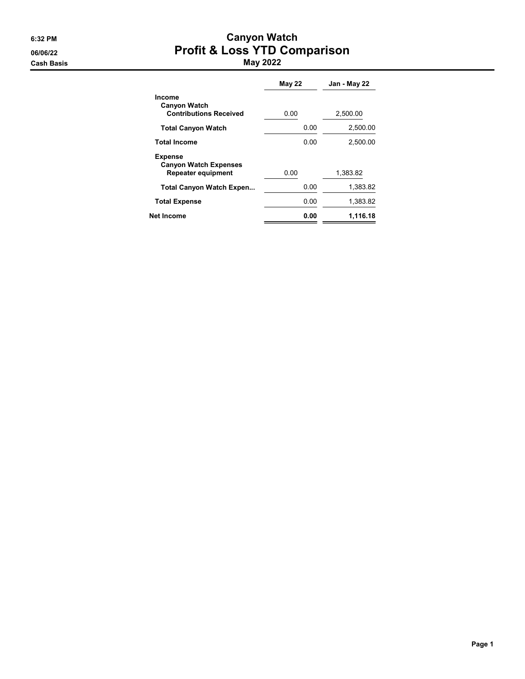#### 6:32 PM Canyon Watch 06/06/22 **Profit & Loss YTD Comparison** Cash Basis May 2022

|                                                                      | May 22 | Jan - May 22 |
|----------------------------------------------------------------------|--------|--------------|
| Income<br><b>Canyon Watch</b><br><b>Contributions Received</b>       | 0.00   | 2,500.00     |
| <b>Total Canyon Watch</b>                                            | 0.00   | 2,500.00     |
| <b>Total Income</b>                                                  | 0.00   | 2,500.00     |
| <b>Expense</b><br><b>Canyon Watch Expenses</b><br>Repeater equipment | 0.00   | 1.383.82     |
| <b>Total Canyon Watch Expen</b>                                      | 0.00   | 1,383.82     |
| <b>Total Expense</b>                                                 | 0.00   | 1,383.82     |
| Net Income                                                           | 0.00   | 1,116.18     |
|                                                                      |        |              |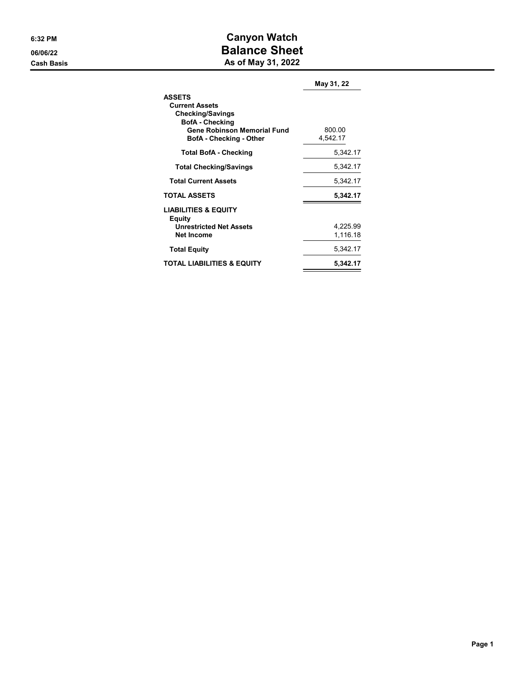### 6:32 PM Canyon Watch 06/06/22 Balance Sheet Cash Basis **As of May 31, 2022**

| <b>ASSETS</b><br><b>Current Assets</b><br><b>Checking/Savings</b><br><b>BofA</b> - Checking<br><b>Gene Robinson Memorial Fund</b><br><b>BofA</b> - Checking - Other | 800.00<br>4,542.17   |
|---------------------------------------------------------------------------------------------------------------------------------------------------------------------|----------------------|
| <b>Total BofA - Checking</b>                                                                                                                                        | 5.342.17             |
| <b>Total Checking/Savings</b>                                                                                                                                       | 5,342.17             |
| <b>Total Current Assets</b>                                                                                                                                         | 5,342.17             |
| <b>TOTAL ASSETS</b>                                                                                                                                                 | 5,342.17             |
| <b>LIABILITIES &amp; EQUITY</b><br>Equity<br><b>Unrestricted Net Assets</b><br><b>Net Income</b>                                                                    | 4,225.99<br>1.116.18 |
| <b>Total Equity</b>                                                                                                                                                 | 5,342.17             |
| <b>TOTAL LIABILITIES &amp; EQUITY</b>                                                                                                                               | 5.342.17             |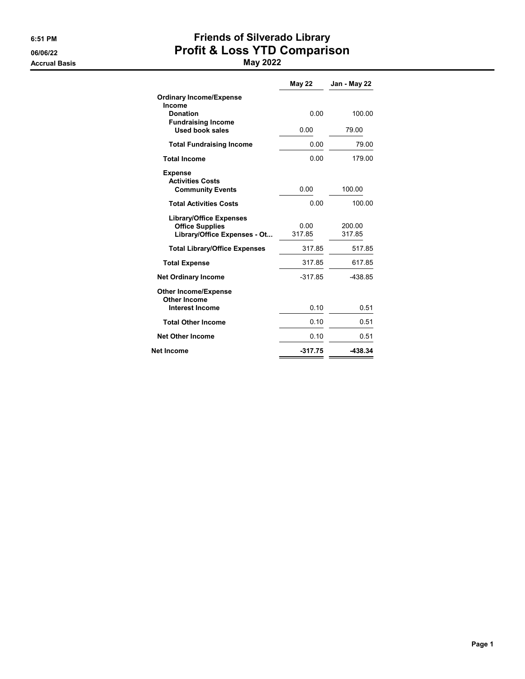Accrual Basis May 2022

# 6:51 PM Friends of Silverado Library 06/06/22 **Profit & Loss YTD Comparison**

|                                                                                          | <b>May 22</b>  | Jan - May 22     |
|------------------------------------------------------------------------------------------|----------------|------------------|
| <b>Ordinary Income/Expense</b><br>Income                                                 |                |                  |
| <b>Donation</b><br><b>Fundraising Income</b>                                             | 0.00           | 100.00           |
| <b>Used book sales</b>                                                                   | 0.00           | 79.00            |
| <b>Total Fundraising Income</b>                                                          | 0.00           | 79.00            |
| <b>Total Income</b>                                                                      | 0.00           | 179.00           |
| <b>Expense</b><br><b>Activities Costs</b>                                                |                |                  |
| <b>Community Events</b>                                                                  | 0.00           | 100.00           |
| <b>Total Activities Costs</b>                                                            | 0.00           | 100.00           |
| <b>Library/Office Expenses</b><br><b>Office Supplies</b><br>Library/Office Expenses - Ot | 0.00<br>317.85 | 200.00<br>317.85 |
| <b>Total Library/Office Expenses</b>                                                     | 317.85         | 517.85           |
| <b>Total Expense</b>                                                                     | 317.85         | 617.85           |
| <b>Net Ordinary Income</b>                                                               | $-317.85$      | -438.85          |
| <b>Other Income/Expense</b>                                                              |                |                  |
| Other Income<br><b>Interest Income</b>                                                   | 0.10           | 0.51             |
| <b>Total Other Income</b>                                                                | 0.10           | 0.51             |
| <b>Net Other Income</b>                                                                  | 0.10           | 0.51             |
| <b>Net Income</b>                                                                        | $-317.75$      | $-438.34$        |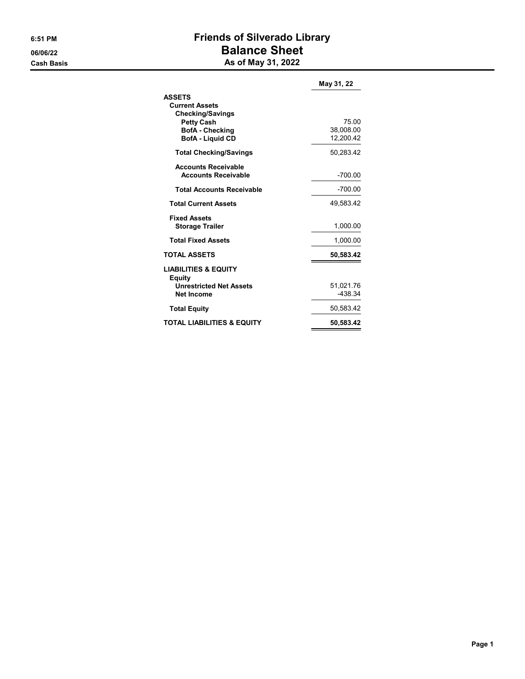# 6:51 PM Friends of Silverado Library 06/06/22 Balance Sheet Cash Basis **As of May 31, 2022**

|                                                                        | May 31, 22                      |
|------------------------------------------------------------------------|---------------------------------|
| <b>ASSETS</b><br><b>Current Assets</b><br><b>Checking/Savings</b>      |                                 |
| <b>Petty Cash</b><br><b>BofA</b> - Checking<br><b>BofA - Liquid CD</b> | 75.00<br>38,008.00<br>12.200.42 |
| <b>Total Checking/Savings</b>                                          | 50,283.42                       |
| <b>Accounts Receivable</b><br><b>Accounts Receivable</b>               | $-700.00$                       |
| <b>Total Accounts Receivable</b>                                       | $-700.00$                       |
| <b>Total Current Assets</b>                                            | 49,583.42                       |
| <b>Fixed Assets</b><br><b>Storage Trailer</b>                          | 1,000.00                        |
| <b>Total Fixed Assets</b>                                              | 1,000.00                        |
| <b>TOTAL ASSETS</b>                                                    | 50,583.42                       |
| <b>LIABILITIES &amp; EQUITY</b><br>Equity                              |                                 |
| <b>Unrestricted Net Assets</b>                                         | 51,021.76                       |
| <b>Net Income</b>                                                      | -438.34                         |
| <b>Total Equity</b>                                                    | 50,583.42                       |
| TOTAL LIABILITIES & EQUITY                                             | 50,583.42                       |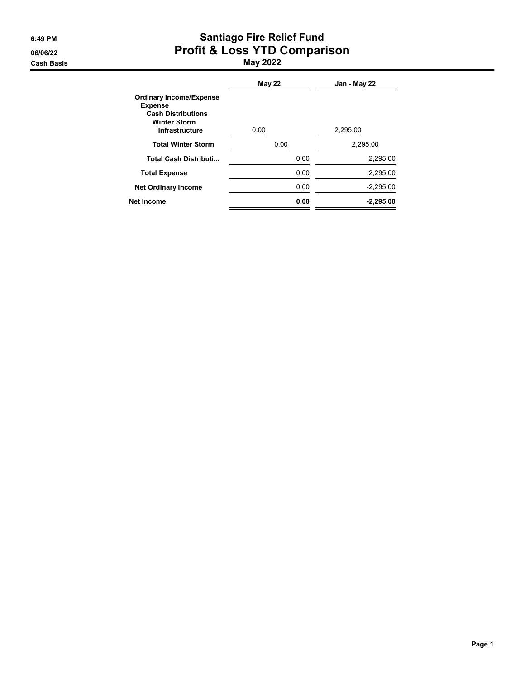#### 6:49 PM Santiago Fire Relief Fund 06/06/22 **Profit & Loss YTD Comparison** Cash Basis May 2022

|                                                                                                                               | <b>May 22</b> | Jan - May 22 |
|-------------------------------------------------------------------------------------------------------------------------------|---------------|--------------|
| <b>Ordinary Income/Expense</b><br><b>Expense</b><br><b>Cash Distributions</b><br><b>Winter Storm</b><br><b>Infrastructure</b> | 0.00          | 2,295.00     |
| <b>Total Winter Storm</b>                                                                                                     | 0.00          | 2.295.00     |
| <b>Total Cash Distributi</b>                                                                                                  | 0.00          | 2,295.00     |
| <b>Total Expense</b>                                                                                                          | 0.00          | 2,295.00     |
| <b>Net Ordinary Income</b>                                                                                                    | 0.00          | $-2,295.00$  |
| <b>Net Income</b>                                                                                                             | 0.00          | $-2.295.00$  |